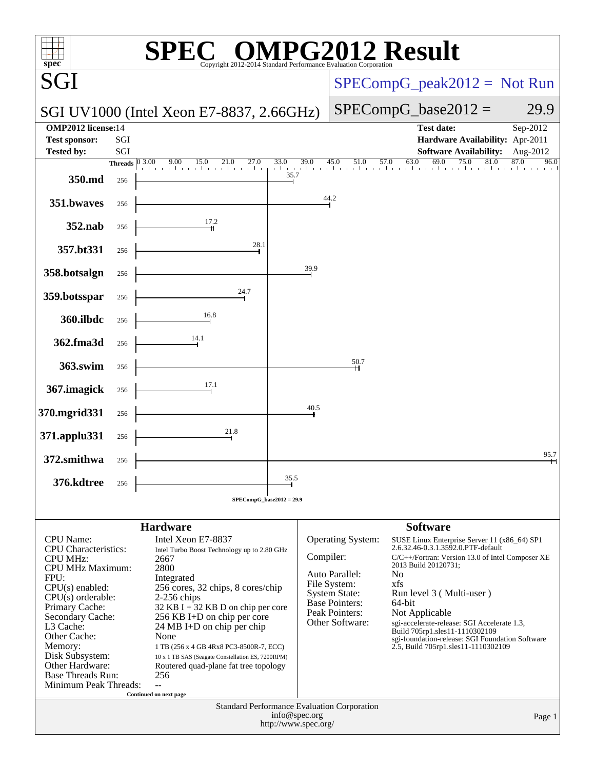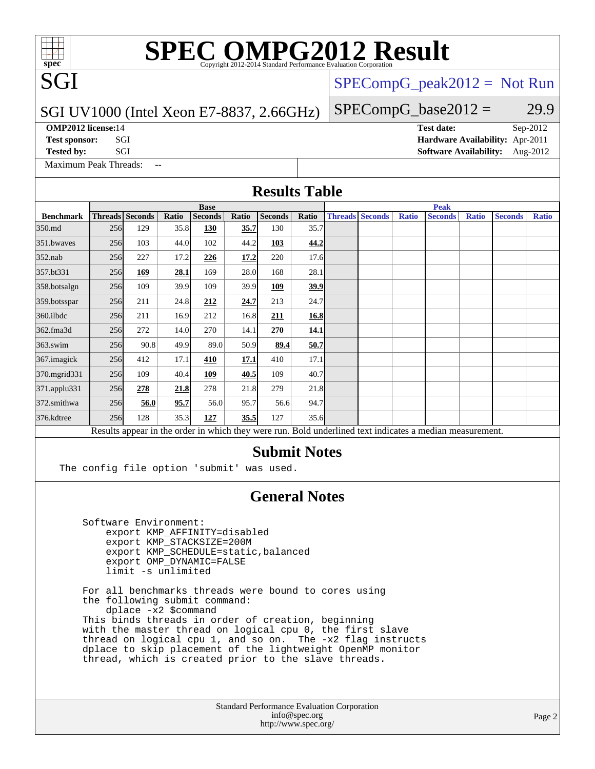# **[SPEC OMPG2012 Result](http://www.spec.org/auto/omp2012/Docs/result-fields.html#SPECOMPG2012Result)**

#### SGI UV1000 (Intel Xeon E7-8837, 2.66GHz)

**[OMP2012 license:](http://www.spec.org/auto/omp2012/Docs/result-fields.html#OMP2012license)**14 **[Test date:](http://www.spec.org/auto/omp2012/Docs/result-fields.html#Testdate)** Sep-2012

SGI

 $SPECompG_peak2012 = Not Run$  $SPECompG_peak2012 = Not Run$ 

### $SPECompG_base2012 = 29.9$  $SPECompG_base2012 = 29.9$

[Maximum Peak Threads:](http://www.spec.org/auto/omp2012/Docs/result-fields.html#MaximumPeakThreads)

**[Test sponsor:](http://www.spec.org/auto/omp2012/Docs/result-fields.html#Testsponsor)** SGI **[Hardware Availability:](http://www.spec.org/auto/omp2012/Docs/result-fields.html#HardwareAvailability)** Apr-2011 **[Tested by:](http://www.spec.org/auto/omp2012/Docs/result-fields.html#Testedby)** SGI [Software Availability:](http://www.spec.org/auto/omp2012/Docs/result-fields.html#SoftwareAvailability) Aug-2012

## **[Results Table](http://www.spec.org/auto/omp2012/Docs/result-fields.html#ResultsTable)**

|                    | <b>Base</b> |                 |       |                |       |                       |                           | <b>Peak</b> |                        |              |                                                                                                          |              |                |              |
|--------------------|-------------|-----------------|-------|----------------|-------|-----------------------|---------------------------|-------------|------------------------|--------------|----------------------------------------------------------------------------------------------------------|--------------|----------------|--------------|
| <b>Benchmark</b>   |             | Threads Seconds | Ratio | <b>Seconds</b> | Ratio | <b>Seconds</b>        | Ratio                     |             | <b>Threads Seconds</b> | <b>Ratio</b> | <b>Seconds</b>                                                                                           | <b>Ratio</b> | <b>Seconds</b> | <b>Ratio</b> |
| 350.md             | 256         | 129             | 35.8  | 130            | 35.7  | 130                   | 35.7                      |             |                        |              |                                                                                                          |              |                |              |
| 351.bwayes         | 256         | 103             | 44.0  | 102            | 44.2  | 103                   | 44.2                      |             |                        |              |                                                                                                          |              |                |              |
| $352$ .nab         | 256         | 227             | 17.2  | 226            | 17.2  | 220                   | 17.6                      |             |                        |              |                                                                                                          |              |                |              |
| 357.bt331          | 256         | 169             | 28.1  | 169            | 28.0  | 168                   | 28.1                      |             |                        |              |                                                                                                          |              |                |              |
| 358.botsalgn       | 256         | 109             | 39.9  | 109            | 39.9  | 109                   | <u>39.9</u>               |             |                        |              |                                                                                                          |              |                |              |
| 359.botsspar       | 256         | 211             | 24.8  | 212            | 24.7  | 213                   | 24.7                      |             |                        |              |                                                                                                          |              |                |              |
| $360$ .ilbdc       | 256         | 211             | 16.9  | 212            | 16.8  | 211                   | 16.8                      |             |                        |              |                                                                                                          |              |                |              |
| 362.fma3d          | 256         | 272             | 14.0  | 270            | 14.1  | 270                   | <b>14.1</b>               |             |                        |              |                                                                                                          |              |                |              |
| $363$ .swim        | 256         | 90.8            | 49.9  | 89.0           | 50.9  | 89.4                  | 50.7                      |             |                        |              |                                                                                                          |              |                |              |
| 367.imagick        | 256         | 412             | 17.1  | 410            | 17.1  | 410                   | 17.1                      |             |                        |              |                                                                                                          |              |                |              |
| 370.mgrid331       | 256         | 109             | 40.4  | 109            | 40.5  | 109                   | 40.7                      |             |                        |              |                                                                                                          |              |                |              |
| $371$ .applu $331$ | 256         | 278             | 21.8  | 278            | 21.8  | 279                   | 21.8                      |             |                        |              |                                                                                                          |              |                |              |
| 372.smithwa        | 256         | 56.0            | 95.7  | 56.0           | 95.7  | 56.6                  | 94.7                      |             |                        |              |                                                                                                          |              |                |              |
| 376.kdtree         | 256         | 128             | 35.3  | 127            | 35.5  | 127                   | 35.6                      |             |                        |              |                                                                                                          |              |                |              |
|                    |             |                 |       |                |       |                       |                           |             |                        |              | Results appear in the order in which they were run. Bold underlined text indicates a median measurement. |              |                |              |
|                    |             |                 |       |                |       | $\sim$ $\blacksquare$ | $\bullet$ . The $\bullet$ |             |                        |              |                                                                                                          |              |                |              |

### **[Submit Notes](http://www.spec.org/auto/omp2012/Docs/result-fields.html#SubmitNotes)**

The config file option 'submit' was used.

### **[General Notes](http://www.spec.org/auto/omp2012/Docs/result-fields.html#GeneralNotes)**

 Software Environment: export KMP\_AFFINITY=disabled export KMP\_STACKSIZE=200M export KMP\_SCHEDULE=static,balanced export OMP\_DYNAMIC=FALSE limit -s unlimited

 For all benchmarks threads were bound to cores using the following submit command: dplace -x2 \$command This binds threads in order of creation, beginning with the master thread on logical cpu 0, the first slave

 thread on logical cpu 1, and so on. The -x2 flag instructs dplace to skip placement of the lightweight OpenMP monitor thread, which is created prior to the slave threads.

> Standard Performance Evaluation Corporation [info@spec.org](mailto:info@spec.org) <http://www.spec.org/>